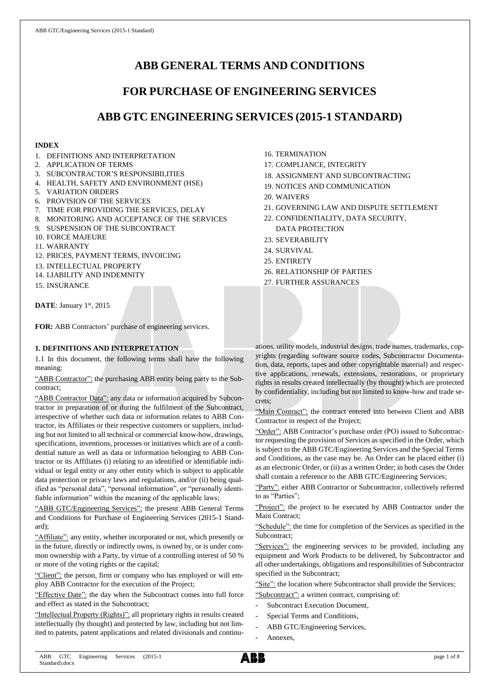# **ABB GENERAL TERMS AND CONDITIONS**

# **FOR PURCHASE OF ENGINEERING SERVICES**

# **ABB GTC ENGINEERING SERVICES (2015-1 STANDARD)**

## **INDEX**

- 1. DEFINITIONS AND INTERPRETATION
- 2. APPLICATION OF TERMS
- 3. SUBCONTRACTOR'S RESPONSIBILITIES
- 4. HEALTH, SAFETY AND ENVIRONMENT (HSE)
- 5. VARIATION ORDERS
- 6. PROVISION OF THE SERVICES
- 7. TIME FOR PROVIDING THE SERVICES, DELAY
- 8. MONITORING AND ACCEPTANCE OF THE SERVICES
- 9. SUSPENSION OF THE SUBCONTRACT
- 10. FORCE MAJEURE
- 11. WARRANTY
- 12. PRICES, PAYMENT TERMS, INVOICING
- 13. INTELLECTUAL PROPERTY
- 14. LIABILITY AND INDEMNITY
- 15. INSURANCE

DATE: January 1st, 2015

**FOR:** ABB Contractors' purchase of engineering services.

## **1. DEFINITIONS AND INTERPRETATION**

1.1 In this document, the following terms shall have the following meaning:

"ABB Contractor": the purchasing ABB entity being party to the Subcontract;

"ABB Contractor Data": any data or information acquired by Subcontractor in preparation of or during the fulfilment of the Subcontract, irrespective of whether such data or information relates to ABB Contractor, its Affiliates or their respective customers or suppliers, including but not limited to all technical or commercial know-how, drawings, specifications, inventions, processes or initiatives which are of a confidential nature as well as data or information belonging to ABB Contractor or its Affiliates (i) relating to an identified or identifiable individual or legal entity or any other entity which is subject to applicable data protection or privacy laws and regulations, and/or (ii) being qualified as "personal data", "personal information", or "personally identifiable information" within the meaning of the applicable laws;

"ABB GTC/Engineering Services": the present ABB General Terms and Conditions for Purchase of Engineering Services (2015-1 Standard);

"Affiliate": any entity, whether incorporated or not, which presently or in the future, directly or indirectly owns, is owned by, or is under common ownership with a Party, by virtue of a controlling interest of 50 % or more of the voting rights or the capital;

"Client": the person, firm or company who has employed or will employ ABB Contractor for the execution of the Project;

"Effective Date": the day when the Subcontract comes into full force and effect as stated in the Subcontract;

"Intellectual Property (Rights)": all proprietary rights in results created intellectually (by thought) and protected by law, including but not limited to patents, patent applications and related divisionals and continu-

- 16. TERMINATION
- 17. COMPLIANCE, INTEGRITY
- 18. ASSIGNMENT AND SUBCONTRACTING
- 19. NOTICES AND COMMUNICATION
- 20. WAIVERS
- 21. GOVERNING LAW AND DISPUTE SETTLEMENT
- 22. CONFIDENTIALITY, DATA SECURITY, DATA PROTECTION
- 23. SEVERABILITY
- 24. SURVIVAL
- 25. ENTIRETY
- 26. RELATIONSHIP OF PARTIES

27. FURTHER ASSURANCES

ations, utility models, industrial designs, trade names, trademarks, copyrights (regarding software source codes, Subcontractor Documentation, data, reports, tapes and other copyrightable material) and respective applications, renewals, extensions, restorations, or proprietary rights in results created intellectually (by thought) which are protected by confidentiality, including but not limited to know-how and trade secrets;

"Main Contract": the contract entered into between Client and ABB Contractor in respect of the Project;

"Order": ABB Contractor's purchase order (PO) issued to Subcontractor requesting the provision of Services as specified in the Order, which is subject to the ABB GTC/Engineering Services and the Special Terms and Conditions, as the case may be. An Order can be placed either (i) as an electronic Order, or (ii) as a written Order; in both cases the Order shall contain a reference to the ABB GTC/Engineering Services;

"Party": either ABB Contractor or Subcontractor, collectively referred to as "Parties";

"Project": the project to be executed by ABB Contractor under the Main Contract;

"Schedule": the time for completion of the Services as specified in the Subcontract;

"Services": the engineering services to be provided, including any equipment and Work Products to be delivered, by Subcontractor and all other undertakings, obligations and responsibilities of Subcontractor specified in the Subcontract;

"Site": the location where Subcontractor shall provide the Services;

"Subcontract": a written contract, comprising of:

- Subcontract Execution Document,
- Special Terms and Conditions,
- ABB GTC/Engineering Services,
- Annexes,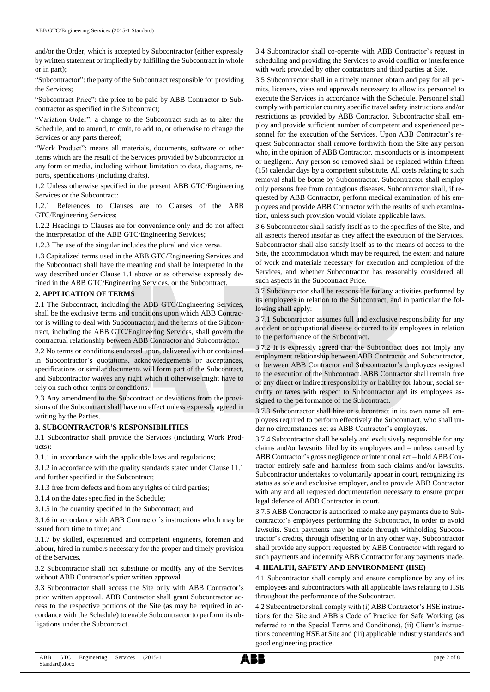and/or the Order, which is accepted by Subcontractor (either expressly by written statement or impliedly by fulfilling the Subcontract in whole or in part);

"Subcontractor": the party of the Subcontract responsible for providing the Services;

"Subcontract Price": the price to be paid by ABB Contractor to Subcontractor as specified in the Subcontract;

"Variation Order": a change to the Subcontract such as to alter the Schedule, and to amend, to omit, to add to, or otherwise to change the Services or any parts thereof;

"Work Product": means all materials, documents, software or other items which are the result of the Services provided by Subcontractor in any form or media, including without limitation to data, diagrams, reports, specifications (including drafts).

1.2 Unless otherwise specified in the present ABB GTC/Engineering Services or the Subcontract:

1.2.1 References to Clauses are to Clauses of the ABB GTC/Engineering Services;

1.2.2 Headings to Clauses are for convenience only and do not affect the interpretation of the ABB GTC/Engineering Services;

1.2.3 The use of the singular includes the plural and vice versa.

1.3 Capitalized terms used in the ABB GTC/Engineering Services and the Subcontract shall have the meaning and shall be interpreted in the way described under Clause 1.1 above or as otherwise expressly defined in the ABB GTC/Engineering Services, or the Subcontract.

### **2. APPLICATION OF TERMS**

2.1 The Subcontract, including the ABB GTC/Engineering Services, shall be the exclusive terms and conditions upon which ABB Contractor is willing to deal with Subcontractor, and the terms of the Subcontract, including the ABB GTC/Engineering Services, shall govern the contractual relationship between ABB Contractor and Subcontractor.

2.2 No terms or conditions endorsed upon, delivered with or contained in Subcontractor's quotations, acknowledgements or acceptances, specifications or similar documents will form part of the Subcontract, and Subcontractor waives any right which it otherwise might have to rely on such other terms or conditions.

2.3 Any amendment to the Subcontract or deviations from the provisions of the Subcontract shall have no effect unless expressly agreed in writing by the Parties.

### **3. SUBCONTRACTOR'S RESPONSIBILITIES**

3.1 Subcontractor shall provide the Services (including Work Products):

3.1.1 in accordance with the applicable laws and regulations;

3.1.2 in accordance with the quality standards stated under Clause 11.1 and further specified in the Subcontract;

3.1.3 free from defects and from any rights of third parties;

3.1.4 on the dates specified in the Schedule;

3.1.5 in the quantity specified in the Subcontract; and

3.1.6 in accordance with ABB Contractor's instructions which may be issued from time to time; and

3.1.7 by skilled, experienced and competent engineers, foremen and labour, hired in numbers necessary for the proper and timely provision of the Services.

3.2 Subcontractor shall not substitute or modify any of the Services without ABB Contractor's prior written approval.

3.3 Subcontractor shall access the Site only with ABB Contractor's prior written approval. ABB Contractor shall grant Subcontractor access to the respective portions of the Site (as may be required in accordance with the Schedule) to enable Subcontractor to perform its obligations under the Subcontract.

3.4 Subcontractor shall co-operate with ABB Contractor's request in scheduling and providing the Services to avoid conflict or interference with work provided by other contractors and third parties at Site.

3.5 Subcontractor shall in a timely manner obtain and pay for all permits, licenses, visas and approvals necessary to allow its personnel to execute the Services in accordance with the Schedule. Personnel shall comply with particular country specific travel safety instructions and/or restrictions as provided by ABB Contractor. Subcontractor shall employ and provide sufficient number of competent and experienced personnel for the execution of the Services. Upon ABB Contractor's request Subcontractor shall remove forthwith from the Site any person who, in the opinion of ABB Contractor, misconducts or is incompetent or negligent. Any person so removed shall be replaced within fifteen (15) calendar days by a competent substitute. All costs relating to such removal shall be borne by Subcontractor. Subcontractor shall employ only persons free from contagious diseases. Subcontractor shall, if requested by ABB Contractor, perform medical examination of his employees and provide ABB Contractor with the results of such examination, unless such provision would violate applicable laws.

3.6 Subcontractor shall satisfy itself as to the specifics of the Site, and all aspects thereof insofar as they affect the execution of the Services. Subcontractor shall also satisfy itself as to the means of access to the Site, the accommodation which may be required, the extent and nature of work and materials necessary for execution and completion of the Services, and whether Subcontractor has reasonably considered all such aspects in the Subcontract Price.

3.7 Subcontractor shall be responsible for any activities performed by its employees in relation to the Subcontract, and in particular the following shall apply:

3.7.1 Subcontractor assumes full and exclusive responsibility for any accident or occupational disease occurred to its employees in relation to the performance of the Subcontract.

3.7.2 It is expressly agreed that the Subcontract does not imply any employment relationship between ABB Contractor and Subcontractor, or between ABB Contractor and Subcontractor's employees assigned to the execution of the Subcontract. ABB Contractor shall remain free of any direct or indirect responsibility or liability for labour, social security or taxes with respect to Subcontractor and its employees assigned to the performance of the Subcontract.

3.7.3 Subcontractor shall hire or subcontract in its own name all employees required to perform effectively the Subcontract, who shall under no circumstances act as ABB Contractor's employees.

3.7.4 Subcontractor shall be solely and exclusively responsible for any claims and/or lawsuits filed by its employees and – unless caused by ABB Contractor's gross negligence or intentional act – hold ABB Contractor entirely safe and harmless from such claims and/or lawsuits. Subcontractor undertakes to voluntarily appear in court, recognizing its status as sole and exclusive employer, and to provide ABB Contractor with any and all requested documentation necessary to ensure proper legal defence of ABB Contractor in court.

3.7.5 ABB Contractor is authorized to make any payments due to Subcontractor's employees performing the Subcontract, in order to avoid lawsuits. Such payments may be made through withholding Subcontractor's credits, through offsetting or in any other way. Subcontractor shall provide any support requested by ABB Contractor with regard to such payments and indemnify ABB Contractor for any payments made.

### **4. HEALTH, SAFETY AND ENVIRONMENT (HSE)**

4.1 Subcontractor shall comply and ensure compliance by any of its employees and subcontractors with all applicable laws relating to HSE throughout the performance of the Subcontract.

4.2 Subcontractor shall comply with (i) ABB Contractor's HSE instructions for the Site and ABB's Code of Practice for Safe Working (as referred to in the Special Terms and Conditions), (ii) Client's instructions concerning HSE at Site and (iii) applicable industry standards and good engineering practice.

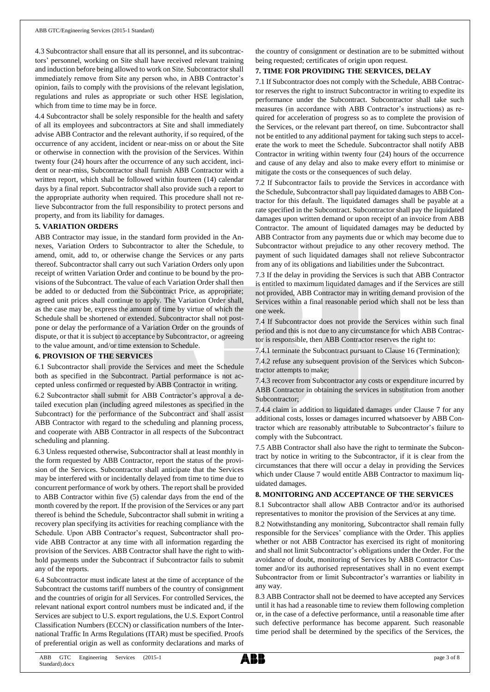4.3 Subcontractor shall ensure that all its personnel, and its subcontractors' personnel, working on Site shall have received relevant training and induction before being allowed to work on Site. Subcontractor shall immediately remove from Site any person who, in ABB Contractor's opinion, fails to comply with the provisions of the relevant legislation, regulations and rules as appropriate or such other HSE legislation, which from time to time may be in force.

4.4 Subcontractor shall be solely responsible for the health and safety of all its employees and subcontractors at Site and shall immediately advise ABB Contractor and the relevant authority, if so required, of the occurrence of any accident, incident or near-miss on or about the Site or otherwise in connection with the provision of the Services. Within twenty four (24) hours after the occurrence of any such accident, incident or near-miss, Subcontractor shall furnish ABB Contractor with a written report, which shall be followed within fourteen (14) calendar days by a final report. Subcontractor shall also provide such a report to the appropriate authority when required. This procedure shall not relieve Subcontractor from the full responsibility to protect persons and property, and from its liability for damages.

### **5. VARIATION ORDERS**

ABB Contractor may issue, in the standard form provided in the Annexes, Variation Orders to Subcontractor to alter the Schedule, to amend, omit, add to, or otherwise change the Services or any parts thereof. Subcontractor shall carry out such Variation Orders only upon receipt of written Variation Order and continue to be bound by the provisions of the Subcontract. The value of each Variation Order shall then be added to or deducted from the Subcontract Price, as appropriate; agreed unit prices shall continue to apply. The Variation Order shall, as the case may be, express the amount of time by virtue of which the Schedule shall be shortened or extended. Subcontractor shall not postpone or delay the performance of a Variation Order on the grounds of dispute, or that it is subject to acceptance by Subcontractor, or agreeing to the value amount, and/or time extension to Schedule.

## **6. PROVISION OF THE SERVICES**

6.1 Subcontractor shall provide the Services and meet the Schedule both as specified in the Subcontract. Partial performance is not accepted unless confirmed or requested by ABB Contractor in writing.

6.2 Subcontractor shall submit for ABB Contractor's approval a detailed execution plan (including agreed milestones as specified in the Subcontract) for the performance of the Subcontract and shall assist ABB Contractor with regard to the scheduling and planning process, and cooperate with ABB Contractor in all respects of the Subcontract scheduling and planning.

6.3 Unless requested otherwise, Subcontractor shall at least monthly in the form requested by ABB Contractor, report the status of the provision of the Services. Subcontractor shall anticipate that the Services may be interfered with or incidentally delayed from time to time due to concurrent performance of work by others. The report shall be provided to ABB Contractor within five (5) calendar days from the end of the month covered by the report. If the provision of the Services or any part thereof is behind the Schedule, Subcontractor shall submit in writing a recovery plan specifying its activities for reaching compliance with the Schedule. Upon ABB Contractor's request, Subcontractor shall provide ABB Contractor at any time with all information regarding the provision of the Services. ABB Contractor shall have the right to withhold payments under the Subcontract if Subcontractor fails to submit any of the reports.

6.4 Subcontractor must indicate latest at the time of acceptance of the Subcontract the customs tariff numbers of the country of consignment and the countries of origin for all Services. For controlled Services, the relevant national export control numbers must be indicated and, if the Services are subject to U.S. export regulations, the U.S. Export Control Classification Numbers (ECCN) or classification numbers of the International Traffic In Arms Regulations (ITAR) must be specified. Proofs of preferential origin as well as conformity declarations and marks of the country of consignment or destination are to be submitted without being requested; certificates of origin upon request.

### **7. TIME FOR PROVIDING THE SERVICES, DELAY**

7.1 If Subcontractor does not comply with the Schedule, ABB Contractor reserves the right to instruct Subcontractor in writing to expedite its performance under the Subcontract. Subcontractor shall take such measures (in accordance with ABB Contractor's instructions) as required for acceleration of progress so as to complete the provision of the Services, or the relevant part thereof, on time. Subcontractor shall not be entitled to any additional payment for taking such steps to accelerate the work to meet the Schedule. Subcontractor shall notify ABB Contractor in writing within twenty four (24) hours of the occurrence and cause of any delay and also to make every effort to minimise or mitigate the costs or the consequences of such delay.

7.2 If Subcontractor fails to provide the Services in accordance with the Schedule, Subcontractor shall pay liquidated damages to ABB Contractor for this default. The liquidated damages shall be payable at a rate specified in the Subcontract. Subcontractor shall pay the liquidated damages upon written demand or upon receipt of an invoice from ABB Contractor. The amount of liquidated damages may be deducted by ABB Contractor from any payments due or which may become due to Subcontractor without prejudice to any other recovery method. The payment of such liquidated damages shall not relieve Subcontractor from any of its obligations and liabilities under the Subcontract.

7.3 If the delay in providing the Services is such that ABB Contractor is entitled to maximum liquidated damages and if the Services are still not provided, ABB Contractor may in writing demand provision of the Services within a final reasonable period which shall not be less than one week.

7.4 If Subcontractor does not provide the Services within such final period and this is not due to any circumstance for which ABB Contractor is responsible, then ABB Contractor reserves the right to:

7.4.1 terminate the Subcontract pursuant to Clause 16 (Termination);

7.4.2 refuse any subsequent provision of the Services which Subcontractor attempts to make;

7.4.3 recover from Subcontractor any costs or expenditure incurred by ABB Contractor in obtaining the services in substitution from another Subcontractor;

7.4.4 claim in addition to liquidated damages under Clause 7 for any additional costs, losses or damages incurred whatsoever by ABB Contractor which are reasonably attributable to Subcontractor's failure to comply with the Subcontract.

7.5 ABB Contractor shall also have the right to terminate the Subcontract by notice in writing to the Subcontractor, if it is clear from the circumstances that there will occur a delay in providing the Services which under Clause 7 would entitle ABB Contractor to maximum liquidated damages.

### **8. MONITORING AND ACCEPTANCE OF THE SERVICES**

8.1 Subcontractor shall allow ABB Contractor and/or its authorised representatives to monitor the provision of the Services at any time.

8.2 Notwithstanding any monitoring, Subcontractor shall remain fully responsible for the Services' compliance with the Order. This applies whether or not ABB Contractor has exercised its right of monitoring and shall not limit Subcontractor's obligations under the Order. For the avoidance of doubt, monitoring of Services by ABB Contractor Customer and/or its authorised representatives shall in no event exempt Subcontractor from or limit Subcontractor's warranties or liability in any way.

8.3 ABB Contractor shall not be deemed to have accepted any Services until it has had a reasonable time to review them following completion or, in the case of a defective performance, until a reasonable time after such defective performance has become apparent. Such reasonable time period shall be determined by the specifics of the Services, the

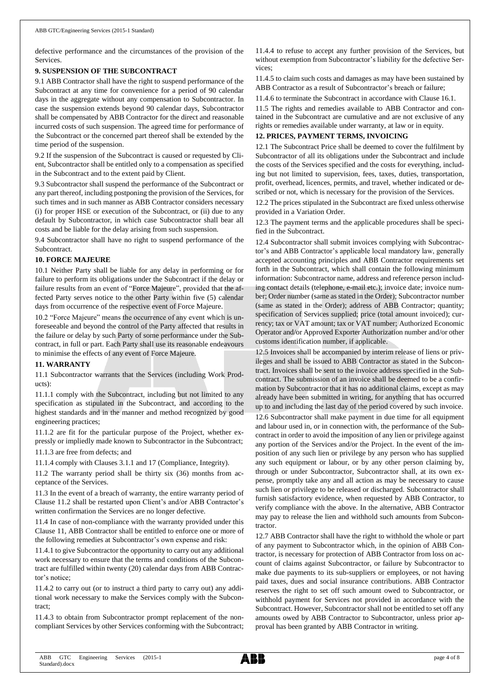defective performance and the circumstances of the provision of the Services.

#### **9. SUSPENSION OF THE SUBCONTRACT**

9.1 ABB Contractor shall have the right to suspend performance of the Subcontract at any time for convenience for a period of 90 calendar days in the aggregate without any compensation to Subcontractor. In case the suspension extends beyond 90 calendar days, Subcontractor shall be compensated by ABB Contractor for the direct and reasonable incurred costs of such suspension. The agreed time for performance of the Subcontract or the concerned part thereof shall be extended by the time period of the suspension.

9.2 If the suspension of the Subcontract is caused or requested by Client, Subcontractor shall be entitled only to a compensation as specified in the Subcontract and to the extent paid by Client.

9.3 Subcontractor shall suspend the performance of the Subcontract or any part thereof, including postponing the provision of the Services, for such times and in such manner as ABB Contractor considers necessary (i) for proper HSE or execution of the Subcontract, or (ii) due to any default by Subcontractor, in which case Subcontractor shall bear all costs and be liable for the delay arising from such suspension.

9.4 Subcontractor shall have no right to suspend performance of the Subcontract.

### **10. FORCE MAJEURE**

10.1 Neither Party shall be liable for any delay in performing or for failure to perform its obligations under the Subcontract if the delay or failure results from an event of "Force Majeure", provided that the affected Party serves notice to the other Party within five (5) calendar days from occurrence of the respective event of Force Majeure.

10.2 "Force Majeure" means the occurrence of any event which is unforeseeable and beyond the control of the Party affected that results in the failure or delay by such Party of some performance under the Subcontract, in full or part. Each Party shall use its reasonable endeavours to minimise the effects of any event of Force Majeure.

#### **11. WARRANTY**

11.1 Subcontractor warrants that the Services (including Work Products):

11.1.1 comply with the Subcontract, including but not limited to any specification as stipulated in the Subcontract, and according to the highest standards and in the manner and method recognized by good engineering practices;

11.1.2 are fit for the particular purpose of the Project, whether expressly or impliedly made known to Subcontractor in the Subcontract;

11.1.3 are free from defects; and

11.1.4 comply with Clauses 3.1.1 and 17 (Compliance, Integrity).

11.2 The warranty period shall be thirty six (36) months from acceptance of the Services.

11.3 In the event of a breach of warranty, the entire warranty period of Clause 11.2 shall be restarted upon Client's and/or ABB Contractor's written confirmation the Services are no longer defective.

11.4 In case of non-compliance with the warranty provided under this Clause 11, ABB Contractor shall be entitled to enforce one or more of the following remedies at Subcontractor's own expense and risk:

11.4.1 to give Subcontractor the opportunity to carry out any additional work necessary to ensure that the terms and conditions of the Subcontract are fulfilled within twenty (20) calendar days from ABB Contractor's notice;

11.4.2 to carry out (or to instruct a third party to carry out) any additional work necessary to make the Services comply with the Subcontract;

11.4.3 to obtain from Subcontractor prompt replacement of the noncompliant Services by other Services conforming with the Subcontract; 11.4.4 to refuse to accept any further provision of the Services, but without exemption from Subcontractor's liability for the defective Services;

11.4.5 to claim such costs and damages as may have been sustained by ABB Contractor as a result of Subcontractor's breach or failure;

11.4.6 to terminate the Subcontract in accordance with Clause 16.1.

11.5 The rights and remedies available to ABB Contractor and contained in the Subcontract are cumulative and are not exclusive of any rights or remedies available under warranty, at law or in equity.

### **12. PRICES, PAYMENT TERMS, INVOICING**

12.1 The Subcontract Price shall be deemed to cover the fulfilment by Subcontractor of all its obligations under the Subcontract and include the costs of the Services specified and the costs for everything, including but not limited to supervision, fees, taxes, duties, transportation, profit, overhead, licences, permits, and travel, whether indicated or described or not, which is necessary for the provision of the Services.

12.2 The prices stipulated in the Subcontract are fixed unless otherwise provided in a Variation Order.

12.3 The payment terms and the applicable procedures shall be specified in the Subcontract.

12.4 Subcontractor shall submit invoices complying with Subcontractor's and ABB Contractor's applicable local mandatory law, generally accepted accounting principles and ABB Contractor requirements set forth in the Subcontract, which shall contain the following minimum information: Subcontractor name, address and reference person including contact details (telephone, e-mail etc.); invoice date; invoice number; Order number (same as stated in the Order); Subcontractor number (same as stated in the Order); address of ABB Contractor; quantity; specification of Services supplied; price (total amount invoiced); currency; tax or VAT amount; tax or VAT number; Authorized Economic Operator and/or Approved Exporter Authorization number and/or other customs identification number, if applicable.

12.5 Invoices shall be accompanied by interim release of liens or privileges and shall be issued to ABB Contractor as stated in the Subcontract. Invoices shall be sent to the invoice address specified in the Subcontract. The submission of an invoice shall be deemed to be a confirmation by Subcontractor that it has no additional claims, except as may already have been submitted in writing, for anything that has occurred up to and including the last day of the period covered by such invoice. 12.6 Subcontractor shall make payment in due time for all equipment

and labour used in, or in connection with, the performance of the Subcontract in order to avoid the imposition of any lien or privilege against any portion of the Services and/or the Project. In the event of the imposition of any such lien or privilege by any person who has supplied any such equipment or labour, or by any other person claiming by, through or under Subcontractor, Subcontractor shall, at its own expense, promptly take any and all action as may be necessary to cause such lien or privilege to be released or discharged. Subcontractor shall furnish satisfactory evidence, when requested by ABB Contractor, to verify compliance with the above. In the alternative, ABB Contractor may pay to release the lien and withhold such amounts from Subcontractor.

12.7 ABB Contractor shall have the right to withhold the whole or part of any payment to Subcontractor which, in the opinion of ABB Contractor, is necessary for protection of ABB Contractor from loss on account of claims against Subcontractor, or failure by Subcontractor to make due payments to its sub-suppliers or employees, or not having paid taxes, dues and social insurance contributions. ABB Contractor reserves the right to set off such amount owed to Subcontractor, or withhold payment for Services not provided in accordance with the Subcontract. However, Subcontractor shall not be entitled to set off any amounts owed by ABB Contractor to Subcontractor, unless prior approval has been granted by ABB Contractor in writing.

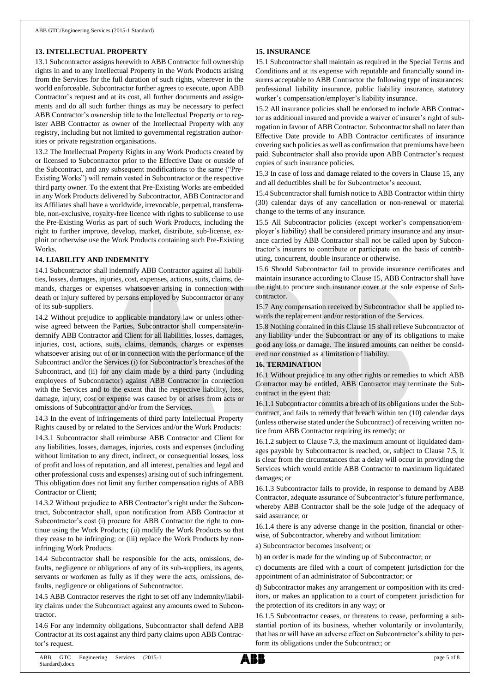### **13. INTELLECTUAL PROPERTY**

13.1 Subcontractor assigns herewith to ABB Contractor full ownership rights in and to any Intellectual Property in the Work Products arising from the Services for the full duration of such rights, wherever in the world enforceable. Subcontractor further agrees to execute, upon ABB Contractor's request and at its cost, all further documents and assignments and do all such further things as may be necessary to perfect ABB Contractor's ownership title to the Intellectual Property or to register ABB Contractor as owner of the Intellectual Property with any registry, including but not limited to governmental registration authorities or private registration organisations.

13.2 The Intellectual Property Rights in any Work Products created by or licensed to Subcontractor prior to the Effective Date or outside of the Subcontract, and any subsequent modifications to the same ("Pre-Existing Works") will remain vested in Subcontractor or the respective third party owner. To the extent that Pre-Existing Works are embedded in any Work Products delivered by Subcontractor, ABB Contractor and its Affiliates shall have a worldwide, irrevocable, perpetual, transferrable, non-exclusive, royalty-free licence with rights to sublicense to use the Pre-Existing Works as part of such Work Products, including the right to further improve, develop, market, distribute, sub-license, exploit or otherwise use the Work Products containing such Pre-Existing Works.

## **14. LIABILITY AND INDEMNITY**

14.1 Subcontractor shall indemnify ABB Contractor against all liabilities, losses, damages, injuries, cost, expenses, actions, suits, claims, demands, charges or expenses whatsoever arising in connection with death or injury suffered by persons employed by Subcontractor or any of its sub-suppliers.

14.2 Without prejudice to applicable mandatory law or unless otherwise agreed between the Parties, Subcontractor shall compensate/indemnify ABB Contractor and Client for all liabilities, losses, damages, injuries, cost, actions, suits, claims, demands, charges or expenses whatsoever arising out of or in connection with the performance of the Subcontract and/or the Services (i) for Subcontractor's breaches of the Subcontract, and (ii) for any claim made by a third party (including employees of Subcontractor) against ABB Contractor in connection with the Services and to the extent that the respective liability, loss, damage, injury, cost or expense was caused by or arises from acts or omissions of Subcontractor and/or from the Services.

14.3 In the event of infringements of third party Intellectual Property Rights caused by or related to the Services and/or the Work Products:

14.3.1 Subcontractor shall reimburse ABB Contractor and Client for any liabilities, losses, damages, injuries, costs and expenses (including without limitation to any direct, indirect, or consequential losses, loss of profit and loss of reputation, and all interest, penalties and legal and other professional costs and expenses) arising out of such infringement. This obligation does not limit any further compensation rights of ABB Contractor or Client;

14.3.2 Without prejudice to ABB Contractor's right under the Subcontract, Subcontractor shall, upon notification from ABB Contractor at Subcontractor's cost (i) procure for ABB Contractor the right to continue using the Work Products; (ii) modify the Work Products so that they cease to be infringing; or (iii) replace the Work Products by noninfringing Work Products.

14.4 Subcontractor shall be responsible for the acts, omissions, defaults, negligence or obligations of any of its sub-suppliers, its agents, servants or workmen as fully as if they were the acts, omissions, defaults, negligence or obligations of Subcontractor.

14.5 ABB Contractor reserves the right to set off any indemnity/liability claims under the Subcontract against any amounts owed to Subcontractor.

14.6 For any indemnity obligations, Subcontractor shall defend ABB Contractor at its cost against any third party claims upon ABB Contractor's request.

## **15. INSURANCE**

15.1 Subcontractor shall maintain as required in the Special Terms and Conditions and at its expense with reputable and financially sound insurers acceptable to ABB Contractor the following type of insurances: professional liability insurance, public liability insurance, statutory worker's compensation/employer's liability insurance.

15.2 All insurance policies shall be endorsed to include ABB Contractor as additional insured and provide a waiver of insurer's right of subrogation in favour of ABB Contractor. Subcontractor shall no later than Effective Date provide to ABB Contractor certificates of insurance covering such policies as well as confirmation that premiums have been paid. Subcontractor shall also provide upon ABB Contractor's request copies of such insurance policies.

15.3 In case of loss and damage related to the covers in Clause 15, any and all deductibles shall be for Subcontractor's account.

15.4 Subcontractor shall furnish notice to ABB Contractor within thirty (30) calendar days of any cancellation or non-renewal or material change to the terms of any insurance.

15.5 All Subcontractor policies (except worker's compensation/employer's liability) shall be considered primary insurance and any insurance carried by ABB Contractor shall not be called upon by Subcontractor's insurers to contribute or participate on the basis of contributing, concurrent, double insurance or otherwise.

15.6 Should Subcontractor fail to provide insurance certificates and maintain insurance according to Clause 15, ABB Contractor shall have the right to procure such insurance cover at the sole expense of Subcontractor.

15.7 Any compensation received by Subcontractor shall be applied towards the replacement and/or restoration of the Services.

15.8 Nothing contained in this Clause 15 shall relieve Subcontractor of any liability under the Subcontract or any of its obligations to make good any loss or damage. The insured amounts can neither be considered nor construed as a limitation of liability.

### **16. TERMINATION**

16.1 Without prejudice to any other rights or remedies to which ABB Contractor may be entitled, ABB Contractor may terminate the Subcontract in the event that:

16.1.1 Subcontractor commits a breach of its obligations under the Subcontract, and fails to remedy that breach within ten (10) calendar days (unless otherwise stated under the Subcontract) of receiving written notice from ABB Contractor requiring its remedy; or

16.1.2 subject to Clause 7.3, the maximum amount of liquidated damages payable by Subcontractor is reached, or, subject to Clause 7.5, it is clear from the circumstances that a delay will occur in providing the Services which would entitle ABB Contractor to maximum liquidated damages; or

16.1.3 Subcontractor fails to provide, in response to demand by ABB Contractor, adequate assurance of Subcontractor's future performance, whereby ABB Contractor shall be the sole judge of the adequacy of said assurance; or

16.1.4 there is any adverse change in the position, financial or otherwise, of Subcontractor, whereby and without limitation:

a) Subcontractor becomes insolvent; or

b) an order is made for the winding up of Subcontractor; or

c) documents are filed with a court of competent jurisdiction for the appointment of an administrator of Subcontractor; or

d) Subcontractor makes any arrangement or composition with its creditors, or makes an application to a court of competent jurisdiction for the protection of its creditors in any way; or

16.1.5 Subcontractor ceases, or threatens to cease, performing a substantial portion of its business, whether voluntarily or involuntarily, that has or will have an adverse effect on Subcontractor's ability to perform its obligations under the Subcontract; or

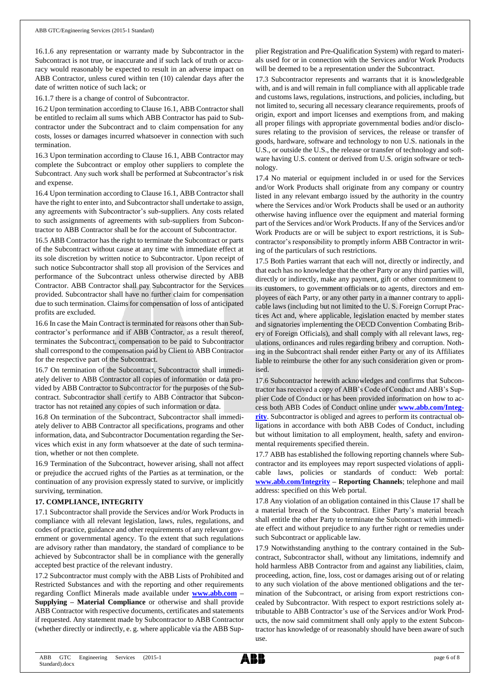16.1.6 any representation or warranty made by Subcontractor in the Subcontract is not true, or inaccurate and if such lack of truth or accuracy would reasonably be expected to result in an adverse impact on ABB Contractor, unless cured within ten (10) calendar days after the date of written notice of such lack; or

16.1.7 there is a change of control of Subcontractor.

16.2 Upon termination according to Clause 16.1, ABB Contractor shall be entitled to reclaim all sums which ABB Contractor has paid to Subcontractor under the Subcontract and to claim compensation for any costs, losses or damages incurred whatsoever in connection with such termination.

16.3 Upon termination according to Clause 16.1, ABB Contractor may complete the Subcontract or employ other suppliers to complete the Subcontract. Any such work shall be performed at Subcontractor's risk and expense.

16.4 Upon termination according to Clause 16.1, ABB Contractor shall have the right to enter into, and Subcontractor shall undertake to assign, any agreements with Subcontractor's sub-suppliers. Any costs related to such assignments of agreements with sub-suppliers from Subcontractor to ABB Contractor shall be for the account of Subcontractor.

16.5 ABB Contractor has the right to terminate the Subcontract or parts of the Subcontract without cause at any time with immediate effect at its sole discretion by written notice to Subcontractor. Upon receipt of such notice Subcontractor shall stop all provision of the Services and performance of the Subcontract unless otherwise directed by ABB Contractor. ABB Contractor shall pay Subcontractor for the Services provided. Subcontractor shall have no further claim for compensation due to such termination. Claims for compensation of loss of anticipated profits are excluded.

16.6 In case the Main Contract is terminated for reasons other than Subcontractor's performance and if ABB Contractor, as a result thereof, terminates the Subcontract, compensation to be paid to Subcontractor shall correspond to the compensation paid by Client to ABB Contractor for the respective part of the Subcontract.

16.7 On termination of the Subcontract, Subcontractor shall immediately deliver to ABB Contractor all copies of information or data provided by ABB Contractor to Subcontractor for the purposes of the Subcontract. Subcontractor shall certify to ABB Contractor that Subcontractor has not retained any copies of such information or data.

16.8 On termination of the Subcontract, Subcontractor shall immediately deliver to ABB Contractor all specifications, programs and other information, data, and Subcontractor Documentation regarding the Services which exist in any form whatsoever at the date of such termination, whether or not then complete.

16.9 Termination of the Subcontract, however arising, shall not affect or prejudice the accrued rights of the Parties as at termination, or the continuation of any provision expressly stated to survive, or implicitly surviving, termination.

### **17. COMPLIANCE, INTEGRITY**

17.1 Subcontractor shall provide the Services and/or Work Products in compliance with all relevant legislation, laws, rules, regulations, and codes of practice, guidance and other requirements of any relevant government or governmental agency. To the extent that such regulations are advisory rather than mandatory, the standard of compliance to be achieved by Subcontractor shall be in compliance with the generally accepted best practice of the relevant industry.

17.2 Subcontractor must comply with the ABB Lists of Prohibited and Restricted Substances and with the reporting and other requirements regarding Conflict Minerals made available under **[www.abb.com](http://www.abb.com/) – Supplying – Material Compliance** or otherwise and shall provide ABB Contractor with respective documents, certificates and statements if requested. Any statement made by Subcontractor to ABB Contractor (whether directly or indirectly, e. g. where applicable via the ABB Supplier Registration and Pre-Qualification System) with regard to materials used for or in connection with the Services and/or Work Products will be deemed to be a representation under the Subcontract.

17.3 Subcontractor represents and warrants that it is knowledgeable with, and is and will remain in full compliance with all applicable trade and customs laws, regulations, instructions, and policies, including, but not limited to, securing all necessary clearance requirements, proofs of origin, export and import licenses and exemptions from, and making all proper filings with appropriate governmental bodies and/or disclosures relating to the provision of services, the release or transfer of goods, hardware, software and technology to non U.S. nationals in the U.S., or outside the U.S., the release or transfer of technology and software having U.S. content or derived from U.S. origin software or technology.

17.4 No material or equipment included in or used for the Services and/or Work Products shall originate from any company or country listed in any relevant embargo issued by the authority in the country where the Services and/or Work Products shall be used or an authority otherwise having influence over the equipment and material forming part of the Services and/or Work Products. If any of the Services and/or Work Products are or will be subject to export restrictions, it is Subcontractor's responsibility to promptly inform ABB Contractor in writing of the particulars of such restrictions.

17.5 Both Parties warrant that each will not, directly or indirectly, and that each has no knowledge that the other Party or any third parties will, directly or indirectly, make any payment, gift or other commitment to its customers, to government officials or to agents, directors and employees of each Party, or any other party in a manner contrary to applicable laws (including but not limited to the U. S. Foreign Corrupt Practices Act and, where applicable, legislation enacted by member states and signatories implementing the OECD Convention Combating Bribery of Foreign Officials), and shall comply with all relevant laws, regulations, ordinances and rules regarding bribery and corruption. Nothing in the Subcontract shall render either Party or any of its Affiliates liable to reimburse the other for any such consideration given or promised.

17.6 Subcontractor herewith acknowledges and confirms that Subcontractor has received a copy of ABB's Code of Conduct and ABB's Supplier Code of Conduct or has been provided information on how to access both ABB Codes of Conduct online under **[www.abb.com/Integ](http://www.abb.com/Integrity)[rity](http://www.abb.com/Integrity)**. Subcontractor is obliged and agrees to perform its contractual obligations in accordance with both ABB Codes of Conduct, including but without limitation to all employment, health, safety and environmental requirements specified therein.

17.7 ABB has established the following reporting channels where Subcontractor and its employees may report suspected violations of applicable laws, policies or standards of conduct: Web portal: **[www.abb.com/Integrity](http://www.abb.com/Integrity) – Reporting Channels**; telephone and mail address: specified on this Web portal.

17.8 Any violation of an obligation contained in this Clause 17 shall be a material breach of the Subcontract. Either Party's material breach shall entitle the other Party to terminate the Subcontract with immediate effect and without prejudice to any further right or remedies under such Subcontract or applicable law.

17.9 Notwithstanding anything to the contrary contained in the Subcontract, Subcontractor shall, without any limitations, indemnify and hold harmless ABB Contractor from and against any liabilities, claim, proceeding, action, fine, loss, cost or damages arising out of or relating to any such violation of the above mentioned obligations and the termination of the Subcontract, or arising from export restrictions concealed by Subcontractor. With respect to export restrictions solely attributable to ABB Contractor's use of the Services and/or Work Products, the now said commitment shall only apply to the extent Subcontractor has knowledge of or reasonably should have been aware of such use.

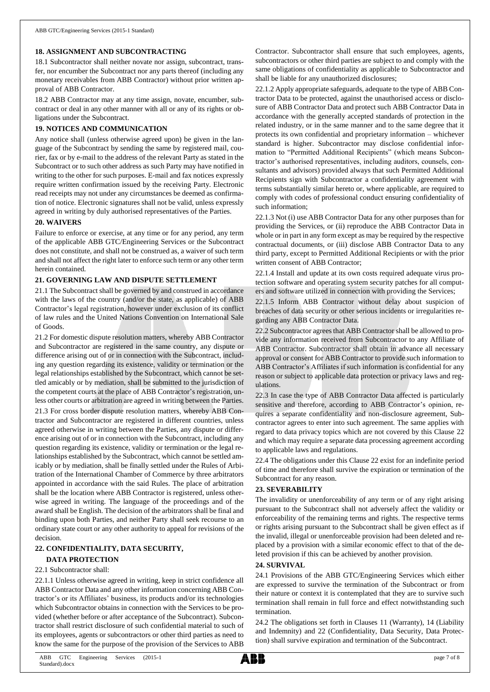### **18. ASSIGNMENT AND SUBCONTRACTING**

18.1 Subcontractor shall neither novate nor assign, subcontract, transfer, nor encumber the Subcontract nor any parts thereof (including any monetary receivables from ABB Contractor) without prior written approval of ABB Contractor.

18.2 ABB Contractor may at any time assign, novate, encumber, subcontract or deal in any other manner with all or any of its rights or obligations under the Subcontract.

## **19. NOTICES AND COMMUNICATION**

Any notice shall (unless otherwise agreed upon) be given in the language of the Subcontract by sending the same by registered mail, courier, fax or by e-mail to the address of the relevant Party as stated in the Subcontract or to such other address as such Party may have notified in writing to the other for such purposes. E-mail and fax notices expressly require written confirmation issued by the receiving Party. Electronic read receipts may not under any circumstances be deemed as confirmation of notice. Electronic signatures shall not be valid, unless expressly agreed in writing by duly authorised representatives of the Parties.

## **20. WAIVERS**

Failure to enforce or exercise, at any time or for any period, any term of the applicable ABB GTC/Engineering Services or the Subcontract does not constitute, and shall not be construed as, a waiver of such term and shall not affect the right later to enforce such term or any other term herein contained.

## **21. GOVERNING LAW AND DISPUTE SETTLEMENT**

21.1 The Subcontract shall be governed by and construed in accordance with the laws of the country (and/or the state, as applicable) of ABB Contractor's legal registration, however under exclusion of its conflict of law rules and the United Nations Convention on International Sale of Goods.

21.2 For domestic dispute resolution matters, whereby ABB Contractor and Subcontractor are registered in the same country, any dispute or difference arising out of or in connection with the Subcontract, including any question regarding its existence, validity or termination or the legal relationships established by the Subcontract, which cannot be settled amicably or by mediation, shall be submitted to the jurisdiction of the competent courts at the place of ABB Contractor's registration, unless other courts or arbitration are agreed in writing between the Parties.

21.3 For cross border dispute resolution matters, whereby ABB Contractor and Subcontractor are registered in different countries, unless agreed otherwise in writing between the Parties, any dispute or difference arising out of or in connection with the Subcontract, including any question regarding its existence, validity or termination or the legal relationships established by the Subcontract, which cannot be settled amicably or by mediation, shall be finally settled under the Rules of Arbitration of the International Chamber of Commerce by three arbitrators appointed in accordance with the said Rules. The place of arbitration shall be the location where ABB Contractor is registered, unless otherwise agreed in writing. The language of the proceedings and of the award shall be English. The decision of the arbitrators shall be final and binding upon both Parties, and neither Party shall seek recourse to an ordinary state court or any other authority to appeal for revisions of the decision.

## **22. CONFIDENTIALITY, DATA SECURITY,**

## **DATA PROTECTION**

## 22.1 Subcontractor shall:

22.1.1 Unless otherwise agreed in writing, keep in strict confidence all ABB Contractor Data and any other information concerning ABB Contractor's or its Affiliates' business, its products and/or its technologies which Subcontractor obtains in connection with the Services to be provided (whether before or after acceptance of the Subcontract). Subcontractor shall restrict disclosure of such confidential material to such of its employees, agents or subcontractors or other third parties as need to know the same for the purpose of the provision of the Services to ABB

Contractor. Subcontractor shall ensure that such employees, agents, subcontractors or other third parties are subject to and comply with the same obligations of confidentiality as applicable to Subcontractor and shall be liable for any unauthorized disclosures;

22.1.2 Apply appropriate safeguards, adequate to the type of ABB Contractor Data to be protected, against the unauthorised access or disclosure of ABB Contractor Data and protect such ABB Contractor Data in accordance with the generally accepted standards of protection in the related industry, or in the same manner and to the same degree that it protects its own confidential and proprietary information – whichever standard is higher. Subcontractor may disclose confidential information to "Permitted Additional Recipients" (which means Subcontractor's authorised representatives, including auditors, counsels, consultants and advisors) provided always that such Permitted Additional Recipients sign with Subcontractor a confidentiality agreement with terms substantially similar hereto or, where applicable, are required to comply with codes of professional conduct ensuring confidentiality of such information;

22.1.3 Not (i) use ABB Contractor Data for any other purposes than for providing the Services, or (ii) reproduce the ABB Contractor Data in whole or in part in any form except as may be required by the respective contractual documents, or (iii) disclose ABB Contractor Data to any third party, except to Permitted Additional Recipients or with the prior written consent of ABB Contractor;

22.1.4 Install and update at its own costs required adequate virus protection software and operating system security patches for all computers and software utilized in connection with providing the Services;

22.1.5 Inform ABB Contractor without delay about suspicion of breaches of data security or other serious incidents or irregularities regarding any ABB Contractor Data.

22.2 Subcontractor agrees that ABB Contractor shall be allowed to provide any information received from Subcontractor to any Affiliate of ABB Contractor. Subcontractor shall obtain in advance all necessary approval or consent for ABB Contractor to provide such information to ABB Contractor's Affiliates if such information is confidential for any reason or subject to applicable data protection or privacy laws and regulations.

22.3 In case the type of ABB Contractor Data affected is particularly sensitive and therefore, according to ABB Contractor's opinion, requires a separate confidentiality and non-disclosure agreement, Subcontractor agrees to enter into such agreement. The same applies with regard to data privacy topics which are not covered by this Clause 22 and which may require a separate data processing agreement according to applicable laws and regulations.

22.4 The obligations under this Clause 22 exist for an indefinite period of time and therefore shall survive the expiration or termination of the Subcontract for any reason.

## **23. SEVERABILITY**

The invalidity or unenforceability of any term or of any right arising pursuant to the Subcontract shall not adversely affect the validity or enforceability of the remaining terms and rights. The respective terms or rights arising pursuant to the Subcontract shall be given effect as if the invalid, illegal or unenforceable provision had been deleted and replaced by a provision with a similar economic effect to that of the deleted provision if this can be achieved by another provision.

### **24. SURVIVAL**

24.1 Provisions of the ABB GTC/Engineering Services which either are expressed to survive the termination of the Subcontract or from their nature or context it is contemplated that they are to survive such termination shall remain in full force and effect notwithstanding such termination.

24.2 The obligations set forth in Clauses 11 (Warranty), 14 (Liability and Indemnity) and 22 (Confidentiality, Data Security, Data Protection) shall survive expiration and termination of the Subcontract.